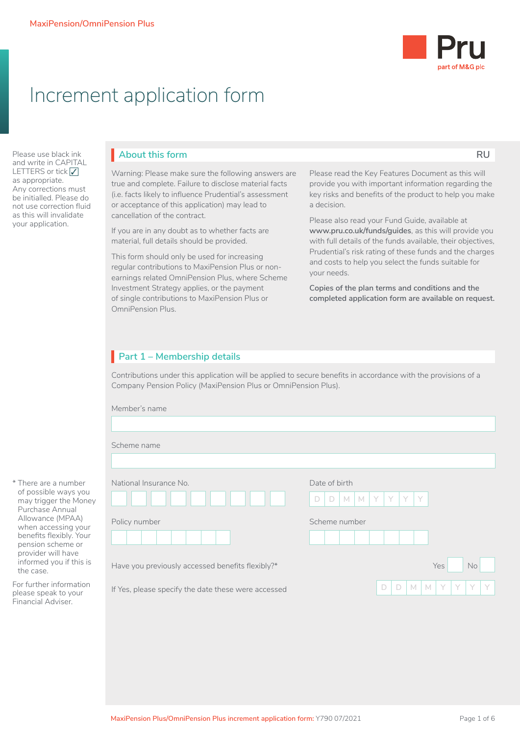

# Increment application form

Please use black ink and write in CAPITAL LETTERS or tick ∠<br>as appropriate as appropriate. Any corrections must be initialled. Please do not use correction fluid as this will invalidate your application.

## **About this form RU**

Warning: Please make sure the following answers are true and complete. Failure to disclose material facts (i.e. facts likely to influence Prudential's assessment or acceptance of this application) may lead to cancellation of the contract.

If you are in any doubt as to whether facts are material, full details should be provided.

This form should only be used for increasing regular contributions to MaxiPension Plus or nonearnings related OmniPension Plus, where Scheme Investment Strategy applies, or the payment of single contributions to MaxiPension Plus or OmniPension Plus.

Please read the Key Features Document as this will provide you with important information regarding the key risks and benefits of the product to help you make a decision.

Please also read your Fund Guide, available at **www.pru.co.uk/funds/guides**, as this will provide you with full details of the funds available, their objectives, Prudential's risk rating of these funds and the charges and costs to help you select the funds suitable for your needs.

**Copies of the plan terms and conditions and the completed application form are available on request.**

## **Part 1 – Membership details**

Contributions under this application will be applied to secure benefits in accordance with the provisions of a Company Pension Policy (MaxiPension Plus or OmniPension Plus).

| Member's name                                       |                                            |  |  |  |  |  |  |  |
|-----------------------------------------------------|--------------------------------------------|--|--|--|--|--|--|--|
|                                                     |                                            |  |  |  |  |  |  |  |
| Scheme name                                         |                                            |  |  |  |  |  |  |  |
|                                                     |                                            |  |  |  |  |  |  |  |
| National Insurance No.                              | Date of birth                              |  |  |  |  |  |  |  |
|                                                     | $M$ $M$<br>Y.<br>Y<br>Y<br>Y<br>D<br>D     |  |  |  |  |  |  |  |
| Policy number                                       | Scheme number                              |  |  |  |  |  |  |  |
|                                                     |                                            |  |  |  |  |  |  |  |
| Have you previously accessed benefits flexibly?*    | Yes<br>No                                  |  |  |  |  |  |  |  |
|                                                     |                                            |  |  |  |  |  |  |  |
| If Yes, please specify the date these were accessed | D<br>D<br>Y<br>Y<br>Y<br>$\mathsf{M}$<br>M |  |  |  |  |  |  |  |

\* There are a number of possible ways you

For further information please speak to your Financial Adviser.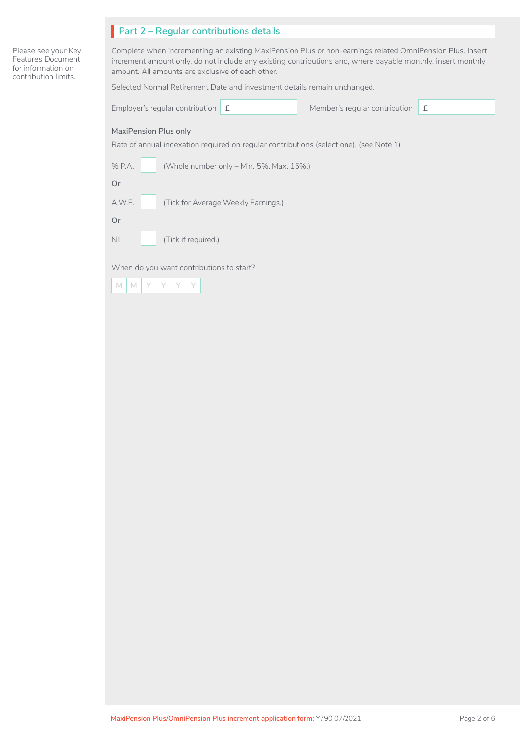| Part 2 - Regular contributions details |  |
|----------------------------------------|--|
|                                        |  |

Please see your Key Features Document for information on contribution limits.

Complete when incrementing an existing MaxiPension Plus or non-earnings related OmniPension Plus. Insert increment amount only, do not include any existing contributions and, where payable monthly, insert monthly amount. All amounts are exclusive of each other.

Selected Normal Retirement Date and investment details remain unchanged.

| Employer's regular contribution<br>£                                                                                   | Member's regular contribution | £ |
|------------------------------------------------------------------------------------------------------------------------|-------------------------------|---|
| <b>MaxiPension Plus only</b><br>Rate of annual indexation required on regular contributions (select one). (see Note 1) |                               |   |
| % P.A.<br>(Whole number only - Min. 5%. Max. 15%.)                                                                     |                               |   |
| 0r                                                                                                                     |                               |   |
| A.W.E.<br>(Tick for Average Weekly Earnings.)                                                                          |                               |   |
| <b>Or</b>                                                                                                              |                               |   |
| <b>NIL</b><br>(Tick if required.)                                                                                      |                               |   |
| When do you want contributions to start?                                                                               |                               |   |

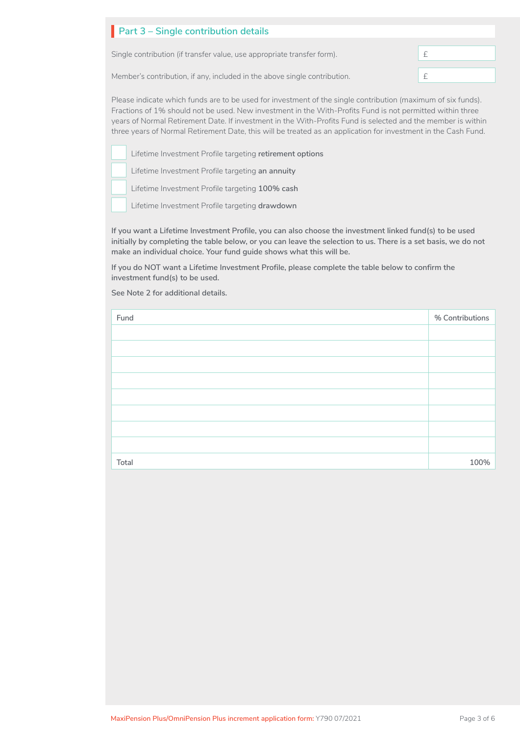| Part 3 – Single contribution details                                      |  |
|---------------------------------------------------------------------------|--|
| Single contribution (if transfer value, use appropriate transfer form).   |  |
| Member's contribution, if any, included in the above single contribution. |  |

Please indicate which funds are to be used for investment of the single contribution (maximum of six funds). Fractions of 1% should not be used. New investment in the With-Profits Fund is not permitted within three years of Normal Retirement Date. If investment in the With-Profits Fund is selected and the member is within three years of Normal Retirement Date, this will be treated as an application for investment in the Cash Fund.

Lifetime Investment Profile targeting **retirement options**  □□ <sup>∟∏€</sup><br>□□

Lifetime Investment Profile targeting **an annuity**  □

Lifetime Investment Profile targeting **100% cash**  □

Lifetime Investment Profile targeting **drawdown** □

**If you want a Lifetime Investment Profile, you can also choose the investment linked fund(s) to be used initially by completing the table below, or you can leave the selection to us. There is a set basis, we do not make an individual choice. Your fund guide shows what this will be.** 

**If you do NOT want a Lifetime Investment Profile, please complete the table below to confirm the investment fund(s) to be used.** 

**See Note 2 for additional details.**

| Fund  | % Contributions |
|-------|-----------------|
|       |                 |
|       |                 |
|       |                 |
|       |                 |
|       |                 |
|       |                 |
|       |                 |
|       |                 |
| Total | 100%            |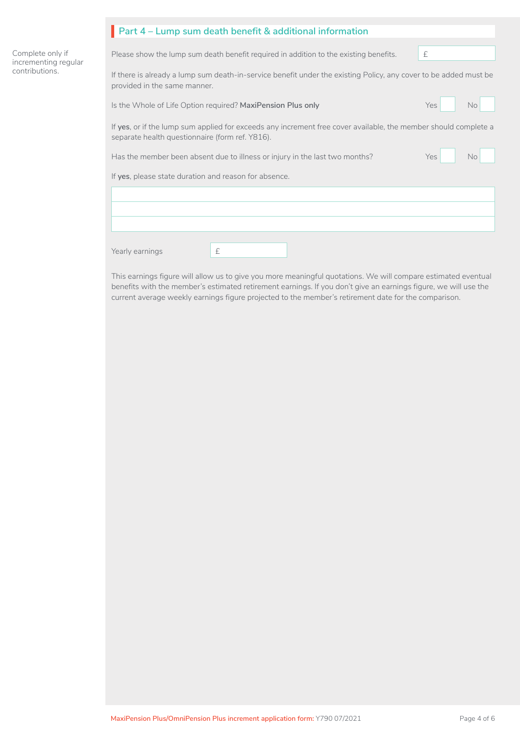|                                          | Part 4 – Lump sum death benefit & additional information                                                                                                           |  |  |  |  |  |  |  |
|------------------------------------------|--------------------------------------------------------------------------------------------------------------------------------------------------------------------|--|--|--|--|--|--|--|
|                                          |                                                                                                                                                                    |  |  |  |  |  |  |  |
| Complete only if<br>incrementing regular | £<br>Please show the lump sum death benefit required in addition to the existing benefits.                                                                         |  |  |  |  |  |  |  |
| contributions.                           | If there is already a lump sum death-in-service benefit under the existing Policy, any cover to be added must be<br>provided in the same manner.                   |  |  |  |  |  |  |  |
|                                          | Yes<br>Is the Whole of Life Option required? MaxiPension Plus only<br>No.                                                                                          |  |  |  |  |  |  |  |
|                                          | If yes, or if the lump sum applied for exceeds any increment free cover available, the member should complete a<br>separate health questionnaire (form ref. Y816). |  |  |  |  |  |  |  |
|                                          | Has the member been absent due to illness or injury in the last two months?<br>Yes<br>No.                                                                          |  |  |  |  |  |  |  |
|                                          | If yes, please state duration and reason for absence.                                                                                                              |  |  |  |  |  |  |  |
|                                          |                                                                                                                                                                    |  |  |  |  |  |  |  |
|                                          |                                                                                                                                                                    |  |  |  |  |  |  |  |
|                                          | £<br>Yearly earnings                                                                                                                                               |  |  |  |  |  |  |  |

This earnings figure will allow us to give you more meaningful quotations. We will compare estimated eventual benefits with the member's estimated retirement earnings. If you don't give an earnings figure, we will use the current average weekly earnings figure projected to the member's retirement date for the comparison.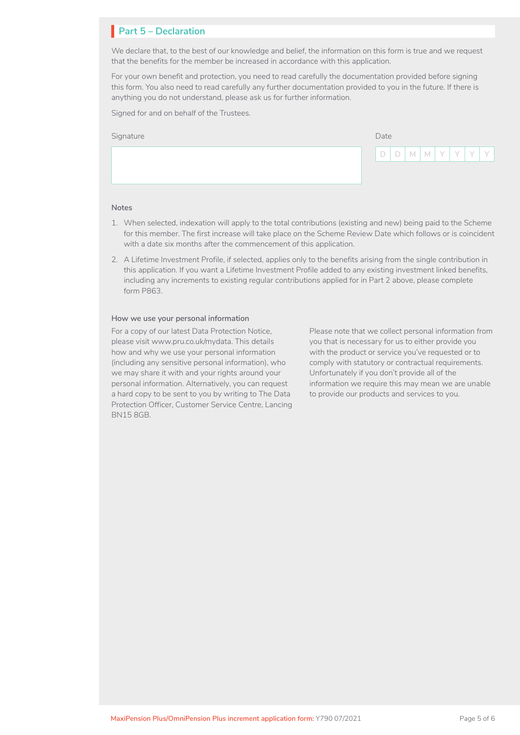## **Part 5 – Declaration** I

We declare that, to the best of our knowledge and belief, the information on this form is true and we request that the benefits for the member be increased in accordance with this application.

For your own benefit and protection, you need to read carefully the documentation provided before signing this form. You also need to read carefully any further documentation provided to you in the future. If there is anything you do not understand, please ask us for further information.

Signed for and on behalf of the Trustees.

| Signature | Date |  |  |  |  |  |                                              |
|-----------|------|--|--|--|--|--|----------------------------------------------|
|           |      |  |  |  |  |  | 1 D   D   M   M   Y   Y   Y   Y <sup> </sup> |
|           |      |  |  |  |  |  |                                              |

### **Notes**

- 1. When selected, indexation will apply to the total contributions (existing and new) being paid to the Scheme for this member. The first increase will take place on the Scheme Review Date which follows or is coincident with a date six months after the commencement of this application.
- 2. A Lifetime Investment Profile, if selected, applies only to the benefits arising from the single contribution in this application. If you want a Lifetime Investment Profile added to any existing investment linked benefits, including any increments to existing regular contributions applied for in Part 2 above, please complete form P863.

#### **How we use your personal information**

For a copy of our latest Data Protection Notice, please visit www.pru.co.uk/mydata. This details how and why we use your personal information (including any sensitive personal information), who we may share it with and your rights around your personal information. Alternatively, you can request a hard copy to be sent to you by writing to The Data Protection Officer, Customer Service Centre, Lancing BN15 8GB.

Please note that we collect personal information from you that is necessary for us to either provide you with the product or service you've requested or to comply with statutory or contractual requirements. Unfortunately if you don't provide all of the information we require this may mean we are unable to provide our products and services to you.